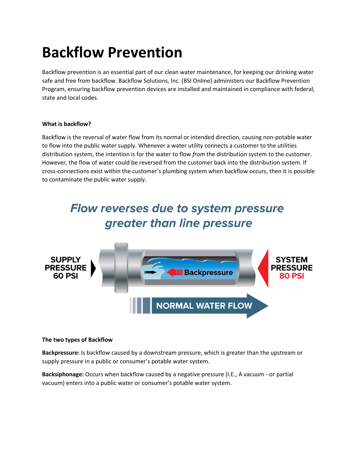# **Backflow Prevention**

Backflow prevention is an essential part of our clean water maintenance, for keeping our drinking water safe and free from backflow. Backflow Solutions, Inc. (BSI Online) administers our Backflow Prevention Program, ensuring backflow prevention devices are installed and maintained in compliance with federal, state and local codes.

#### **What is backflow?**

Backflow is the reversal of water flow from its normal or intended direction, causing non-potable water to flow into the public water supply. Whenever a water utility connects a customer to the utilities distribution system, the intention is for the water to flow *from* the distribution system *to* the customer. However, the flow of water could be reversed from the customer back into the distribution system. If cross-connections exist within the customer's plumbing system when backflow occurs, then it is possible to contaminate the public water supply.



#### **The two types of Backflow**

**Backpressure:** Is backflow caused by a downstream pressure, which is greater than the upstream or supply pressure in a public or consumer's potable water system.

**Backsiphonage:** Occurs when backflow caused by a negative pressure (I.E., A vacuum - or partial vacuum) enters into a public water or consumer's potable water system.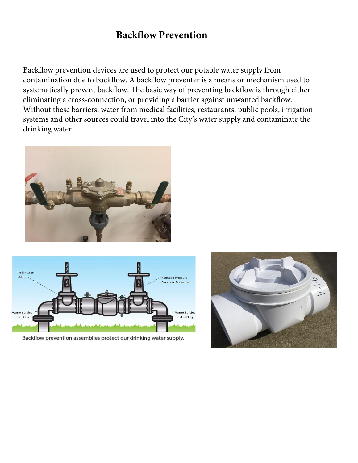## **Backflow Prevention**

Backflow prevention devices are used to protect our potable water supply from contamination due to backflow. A backflow preventer is a means or mechanism used to systematically prevent backflow. The basic way of preventing backflow is through either eliminating a cross-connection, or providing a barrier against unwanted backflow. Without these barriers, water from medical facilities, restaurants, public pools, irrigation systems and other sources could travel into the City's water supply and contaminate the drinking water.





Backflow prevention assemblies protect our drinking water supply.

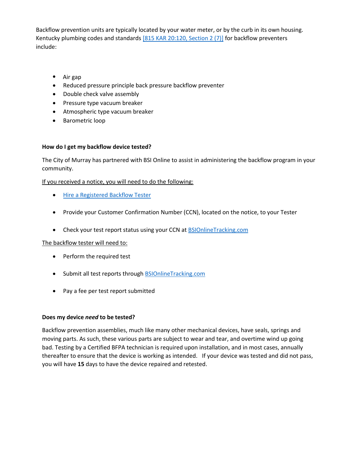Backflow prevention units are typically located by your water meter, or by the curb in its own housing. Kentucky plumbing codes and standards [\[815 KAR 20:120, Section 2 \(7\)\]](http://lrc.ky.gov/kar/815/020/120.pdf) for backflow preventers include:

- Air gap
- Reduced pressure principle back pressure backflow preventer
- Double check valve assembly
- Pressure type vacuum breaker
- Atmospheric type vacuum breaker
- Barometric loop

#### **How do I get my backflow device tested?**

The City of Murray has partnered with BSI Online to assist in administering the backflow program in your community.

If you received a notice, you will need to do the following:

- **[Hire a Registered Backflow Tester](https://dnnh3qht4.blob.core.windows.net/portals/8/water%20quality/Certified%20Backflow%20Prevention%20Device%20Technicians.pdf?sr=b&si=DNNFileManagerPolicy&sig=3uKx64eW0TWsQ9h4lZAqMmMKHv1fJDsUBrsgf4L34aY%3D)**
- Provide your Customer Confirmation Number (CCN), located on the notice, to your Tester
- Check your test report status using your CCN at **BSIOnlineTracking.com**

The backflow tester will need to:

- Perform the required test
- Submit all test reports through **BSIOnlineTracking.com**
- Pay a fee per test report submitted

#### **Does my device** *need* **to be tested?**

Backflow prevention assemblies, much like many other mechanical devices, have seals, springs and moving parts. As such, these various parts are subject to wear and tear, and overtime wind up going bad. Testing by a Certified BFPA technician is required upon installation, and in most cases, annually thereafter to ensure that the device is working as intended. If your device was tested and did not pass, you will have **15** days to have the device repaired and retested.